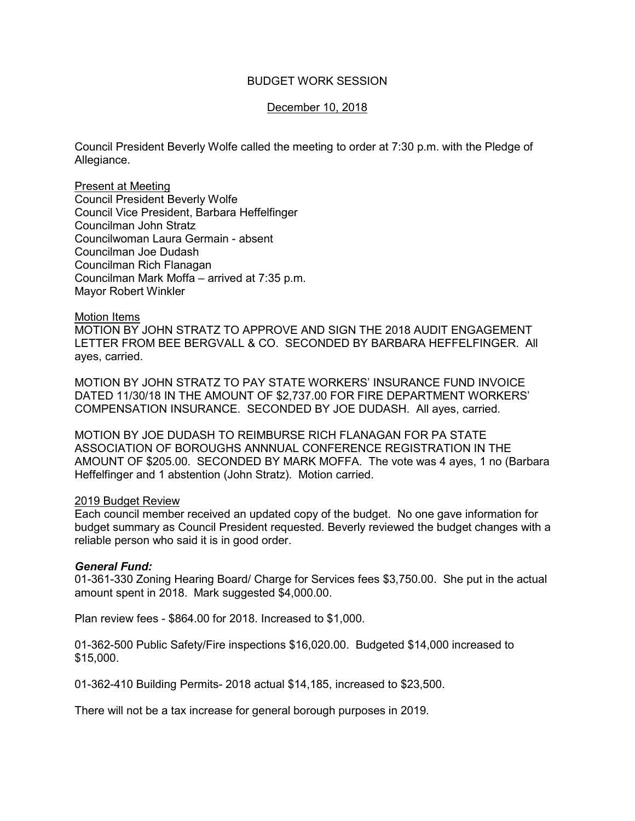# BUDGET WORK SESSION

# December 10, 2018

Council President Beverly Wolfe called the meeting to order at 7:30 p.m. with the Pledge of Allegiance.

Present at Meeting Council President Beverly Wolfe Council Vice President, Barbara Heffelfinger Councilman John Stratz Councilwoman Laura Germain - absent Councilman Joe Dudash Councilman Rich Flanagan Councilman Mark Moffa – arrived at 7:35 p.m. Mayor Robert Winkler

#### Motion Items

MOTION BY JOHN STRATZ TO APPROVE AND SIGN THE 2018 AUDIT ENGAGEMENT LETTER FROM BEE BERGVALL & CO. SECONDED BY BARBARA HEFFELFINGER. All ayes, carried.

MOTION BY JOHN STRATZ TO PAY STATE WORKERS' INSURANCE FUND INVOICE DATED 11/30/18 IN THE AMOUNT OF \$2,737.00 FOR FIRE DEPARTMENT WORKERS' COMPENSATION INSURANCE. SECONDED BY JOE DUDASH. All ayes, carried.

MOTION BY JOE DUDASH TO REIMBURSE RICH FLANAGAN FOR PA STATE ASSOCIATION OF BOROUGHS ANNNUAL CONFERENCE REGISTRATION IN THE AMOUNT OF \$205.00. SECONDED BY MARK MOFFA. The vote was 4 ayes, 1 no (Barbara Heffelfinger and 1 abstention (John Stratz). Motion carried.

### 2019 Budget Review

Each council member received an updated copy of the budget. No one gave information for budget summary as Council President requested. Beverly reviewed the budget changes with a reliable person who said it is in good order.

### *General Fund:*

01-361-330 Zoning Hearing Board/ Charge for Services fees \$3,750.00. She put in the actual amount spent in 2018. Mark suggested \$4,000.00.

Plan review fees - \$864.00 for 2018. Increased to \$1,000.

01-362-500 Public Safety/Fire inspections \$16,020.00. Budgeted \$14,000 increased to \$15,000.

01-362-410 Building Permits- 2018 actual \$14,185, increased to \$23,500.

There will not be a tax increase for general borough purposes in 2019.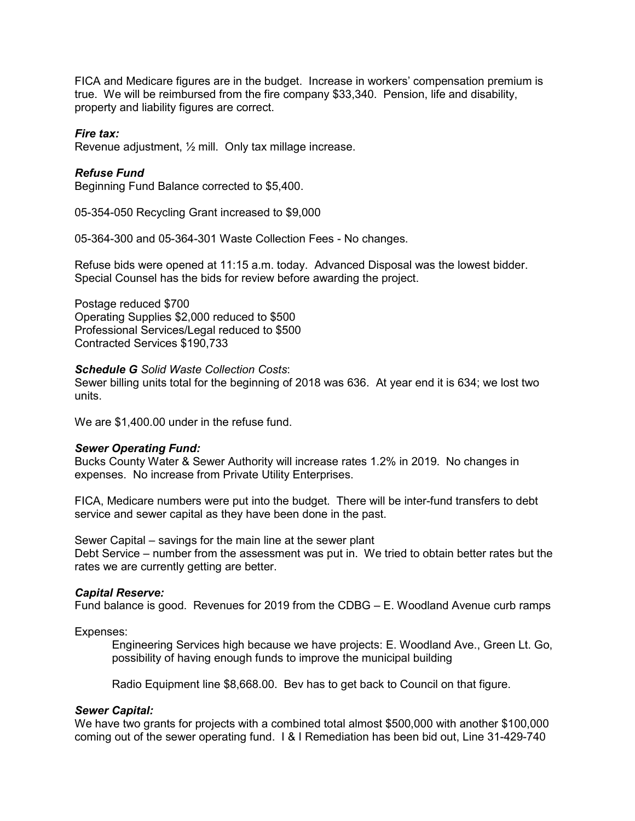FICA and Medicare figures are in the budget. Increase in workers' compensation premium is true. We will be reimbursed from the fire company \$33,340. Pension, life and disability, property and liability figures are correct.

# *Fire tax:*

Revenue adjustment, ½ mill. Only tax millage increase.

# *Refuse Fund*

Beginning Fund Balance corrected to \$5,400.

05-354-050 Recycling Grant increased to \$9,000

05-364-300 and 05-364-301 Waste Collection Fees - No changes.

Refuse bids were opened at 11:15 a.m. today. Advanced Disposal was the lowest bidder. Special Counsel has the bids for review before awarding the project.

Postage reduced \$700 Operating Supplies \$2,000 reduced to \$500 Professional Services/Legal reduced to \$500 Contracted Services \$190,733

#### *Schedule G Solid Waste Collection Costs*:

Sewer billing units total for the beginning of 2018 was 636. At year end it is 634; we lost two units.

We are \$1,400.00 under in the refuse fund.

### *Sewer Operating Fund:*

Bucks County Water & Sewer Authority will increase rates 1.2% in 2019. No changes in expenses. No increase from Private Utility Enterprises.

FICA, Medicare numbers were put into the budget. There will be inter-fund transfers to debt service and sewer capital as they have been done in the past.

Sewer Capital – savings for the main line at the sewer plant Debt Service – number from the assessment was put in. We tried to obtain better rates but the rates we are currently getting are better.

#### *Capital Reserve:*

Fund balance is good. Revenues for 2019 from the CDBG – E. Woodland Avenue curb ramps

Expenses:

 Engineering Services high because we have projects: E. Woodland Ave., Green Lt. Go, possibility of having enough funds to improve the municipal building

Radio Equipment line \$8,668.00. Bev has to get back to Council on that figure.

### *Sewer Capital:*

We have two grants for projects with a combined total almost \$500,000 with another \$100,000 coming out of the sewer operating fund. I & I Remediation has been bid out, Line 31-429-740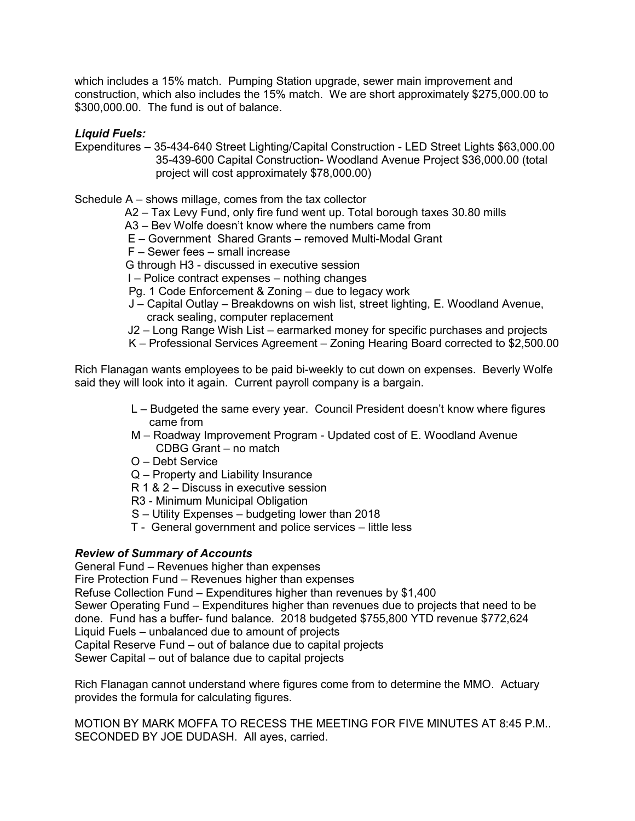which includes a 15% match. Pumping Station upgrade, sewer main improvement and construction, which also includes the 15% match. We are short approximately \$275,000.00 to \$300,000.00. The fund is out of balance.

*Liquid Fuels:* 

Expenditures – 35-434-640 Street Lighting/Capital Construction - LED Street Lights \$63,000.00 35-439-600 Capital Construction- Woodland Avenue Project \$36,000.00 (total project will cost approximately \$78,000.00)

Schedule A – shows millage, comes from the tax collector

A2 – Tax Levy Fund, only fire fund went up. Total borough taxes 30.80 mills

- A3 Bev Wolfe doesn't know where the numbers came from
- E Government Shared Grants removed Multi-Modal Grant
- F Sewer fees small increase
- G through H3 discussed in executive session
- I Police contract expenses nothing changes
- Pg. 1 Code Enforcement & Zoning due to legacy work
- J Capital Outlay Breakdowns on wish list, street lighting, E. Woodland Avenue, crack sealing, computer replacement
- J2 Long Range Wish List earmarked money for specific purchases and projects
- K Professional Services Agreement Zoning Hearing Board corrected to \$2,500.00

Rich Flanagan wants employees to be paid bi-weekly to cut down on expenses. Beverly Wolfe said they will look into it again. Current payroll company is a bargain.

- L Budgeted the same every year. Council President doesn't know where figures came from
- M Roadway Improvement Program Updated cost of E. Woodland Avenue CDBG Grant – no match
- O Debt Service
- Q Property and Liability Insurance
- R 1 & 2 Discuss in executive session
- R3 Minimum Municipal Obligation
- S Utility Expenses budgeting lower than 2018
- T General government and police services little less

# *Review of Summary of Accounts*

General Fund – Revenues higher than expenses Fire Protection Fund – Revenues higher than expenses Refuse Collection Fund – Expenditures higher than revenues by \$1,400 Sewer Operating Fund – Expenditures higher than revenues due to projects that need to be done. Fund has a buffer- fund balance. 2018 budgeted \$755,800 YTD revenue \$772,624 Liquid Fuels – unbalanced due to amount of projects Capital Reserve Fund – out of balance due to capital projects Sewer Capital – out of balance due to capital projects

Rich Flanagan cannot understand where figures come from to determine the MMO. Actuary provides the formula for calculating figures.

MOTION BY MARK MOFFA TO RECESS THE MEETING FOR FIVE MINUTES AT 8:45 P.M.. SECONDED BY JOE DUDASH. All ayes, carried.